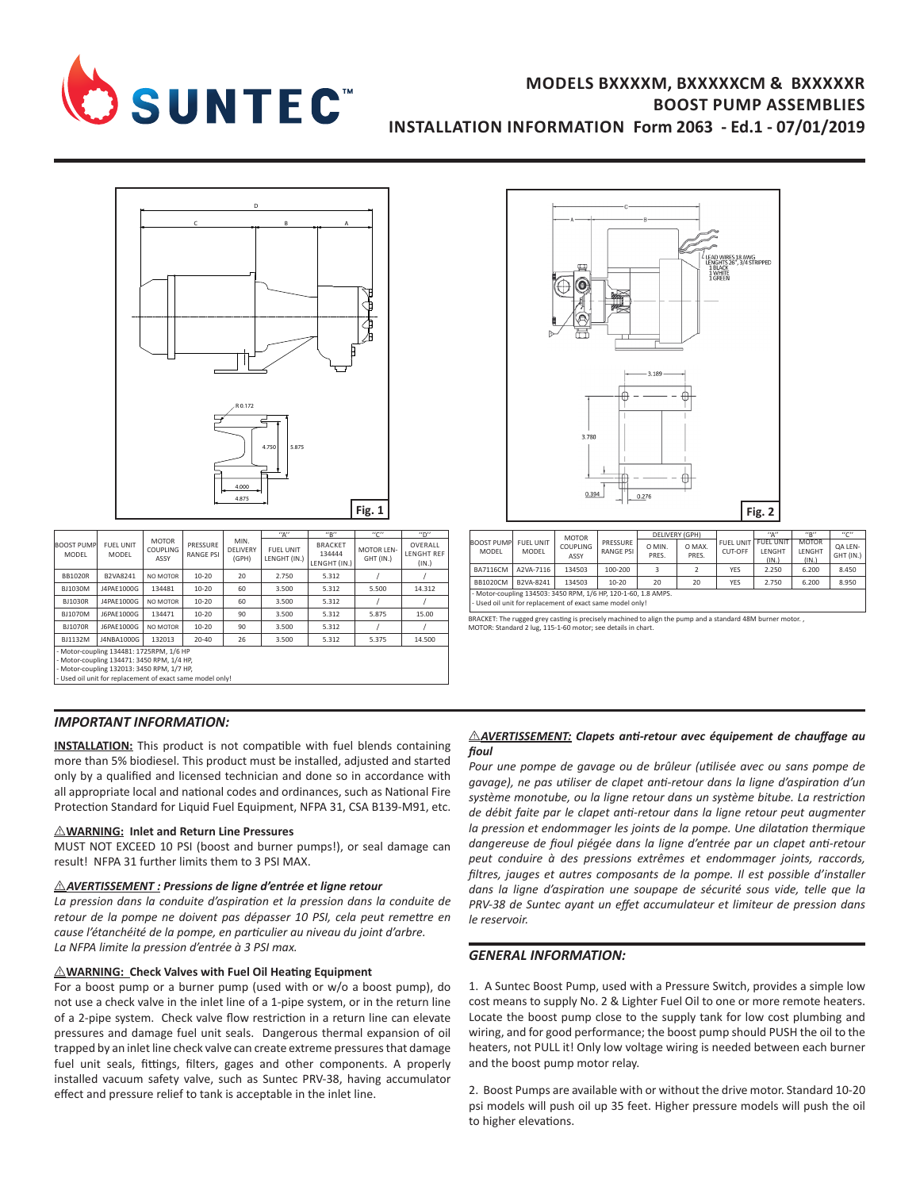

# **MODELS BXXXXM, BXXXXXCM & BXXXXXR BOOST PUMP ASSEMBLIES INSTALLATION INFORMATION Form 2063 - Ed.1 - 07/01/2019**



|                                                           |                                  |                                         |                       |                           | $^{\prime\prime}$ Δ $^{\prime\prime}$ | ''R''                                    | "C"                            | $n_{\mathsf{D}}$                      |
|-----------------------------------------------------------|----------------------------------|-----------------------------------------|-----------------------|---------------------------|---------------------------------------|------------------------------------------|--------------------------------|---------------------------------------|
| <b>BOOST PUMP</b><br>MODEL                                | <b>FUEL UNIT</b><br><b>MODEL</b> | <b>MOTOR</b><br><b>COUPLING</b><br>ASSY | PRESSURE<br>RANGE PSI | MIN.<br>DELIVERY<br>(GPH) | FUEL UNIT<br>LENGHT (IN.)             | <b>BRACKET</b><br>134444<br>LENGHT (IN.) | <b>MOTOR LEN-</b><br>GHT (IN.) | OVERALL<br><b>LENGHT REF</b><br>(IN.) |
| <b>BB1020R</b>                                            | B2VA8241                         | NO MOTOR                                | $10 - 20$             | 20                        | 2.750                                 | 5.312                                    |                                |                                       |
| BJ1030M                                                   | J4PAE1000G                       | 134481                                  | 10-20                 | 60                        | 3.500                                 | 5.312                                    | 5.500                          | 14.312                                |
| <b>BJ1030R</b>                                            | J4PAE1000G                       | NO MOTOR                                | 10-20                 | 60                        | 3.500                                 | 5.312                                    |                                |                                       |
| <b>BJ1070M</b>                                            | J6PAE1000G                       | 134471                                  | 10-20                 | 90                        | 3.500                                 | 5.312                                    | 5.875                          | 15.00                                 |
| <b>BJ1070R</b>                                            | J6PAE1000G                       | NO MOTOR                                | $10 - 20$             | 90                        | 3.500                                 | 5.312                                    |                                |                                       |
| BJ1132M                                                   | J4NBA1000G                       | 132013                                  | 20-40                 | 26                        | 3.500                                 | 5.312                                    | 5.375                          | 14.500                                |
| - Motor-coupling 134481: 1725RPM, 1/6 HP                  |                                  |                                         |                       |                           |                                       |                                          |                                |                                       |
| - Motor-coupling 134471: 3450 RPM, 1/4 HP,                |                                  |                                         |                       |                           |                                       |                                          |                                |                                       |
| - Motor-coupling 132013: 3450 RPM, 1/7 HP,                |                                  |                                         |                       |                           |                                       |                                          |                                |                                       |
| - Used oil unit for replacement of exact same model only! |                                  |                                         |                       |                           |                                       |                                          |                                |                                       |
|                                                           |                                  |                                         |                       |                           |                                       |                                          |                                |                                       |



|                                                                |                                  | <b>MOTOR</b>     |                              | DELIVERY (GPH)  |                 |                      | ''A''                               | ''R''                           | 11011                |
|----------------------------------------------------------------|----------------------------------|------------------|------------------------------|-----------------|-----------------|----------------------|-------------------------------------|---------------------------------|----------------------|
| <b>BOOST PUMP</b><br>MODEL                                     | <b>FUEL UNIT</b><br><b>MODEL</b> | COUPLING<br>ASSY | PRESSURE<br><b>RANGE PSI</b> | O MIN.<br>PRES. | O MAX.<br>PRES. | FUEL UNIT<br>CUT-OFF | <b>FUEL UNIT</b><br>LENGHT<br>(IN.) | <b>MOTOR</b><br>LENGHT<br>(IN.) | OA LEN-<br>GHT (IN.) |
| <b>BA7116CM</b>                                                | A2VA-7116                        | 134503           | 100-200                      |                 |                 | YES                  | 2.250                               | 6.200                           | 8.450                |
| <b>BB1020CM</b>                                                | B2VA-8241                        | 134503           | $10 - 20$                    | 20              | 20              | <b>YES</b>           | 2.750                               | 6.200                           | 8.950                |
| - Motor-coupling 134503: 3450 RPM, 1/6 HP, 120-1-60, 1.8 AMPS. |                                  |                  |                              |                 |                 |                      |                                     |                                 |                      |
| - Used oil unit for replacement of exact same model only!      |                                  |                  |                              |                 |                 |                      |                                     |                                 |                      |

BRACKET: The rugged grey casting is precisely machined to align the pump and a standard 48M burner motor. , MOTOR: Standard 2 lug, 115-1-60 motor; see details in chart.

### *IMPORTANT INFORMATION:*

**INSTALLATION:** This product is not compatible with fuel blends containing more than 5% biodiesel. This product must be installed, adjusted and started only by a qualified and licensed technician and done so in accordance with all appropriate local and national codes and ordinances, such as National Fire Protection Standard for Liquid Fuel Equipment, NFPA 31, CSA B139-M91, etc.

#### I **WARNING: Inlet and Return Line Pressures**

MUST NOT EXCEED 10 PSI (boost and burner pumps!), or seal damage can result! NFPA 31 further limits them to 3 PSI MAX.

#### I *AVERTISSEMENT : Pressions de ligne d'entrée et ligne retour*

*La pression dans la conduite d'aspiration et la pression dans la conduite de retour de la pompe ne doivent pas dépasser 10 PSI, cela peut remettre en cause l'étanchéité de la pompe, en particulier au niveau du joint d'arbre. La NFPA limite la pression d'entrée à 3 PSI max.*

### I **WARNING: Check Valves with Fuel Oil Heating Equipment**

For a boost pump or a burner pump (used with or w/o a boost pump), do not use a check valve in the inlet line of a 1-pipe system, or in the return line of a 2-pipe system. Check valve flow restriction in a return line can elevate pressures and damage fuel unit seals. Dangerous thermal expansion of oil trapped by an inlet line check valve can create extreme pressures that damage fuel unit seals, fittings, filters, gages and other components. A properly installed vacuum safety valve, such as Suntec PRV-38, having accumulator effect and pressure relief to tank is acceptable in the inlet line.

### **AVERTISSEMENT:** Clapets anti-retour avec équipement de chauffage au *fioul*

*Pour une pompe de gavage ou de brûleur (utilisée avec ou sans pompe de gavage), ne pas utiliser de clapet anti-retour dans la ligne d'aspiration d'un système monotube, ou la ligne retour dans un système bitube. La restriction de débit faite par le clapet anti-retour dans la ligne retour peut augmenter la pression et endommager les joints de la pompe. Une dilatation thermique dangereuse de fioul piégée dans la ligne d'entrée par un clapet anti-retour peut conduire à des pressions extrêmes et endommager joints, raccords, filtres, jauges et autres composants de la pompe. Il est possible d'installer dans la ligne d'aspiration une soupape de sécurité sous vide, telle que la PRV-38 de Suntec ayant un effet accumulateur et limiteur de pression dans le reservoir.*

### *GENERAL INFORMATION:*

1. A Suntec Boost Pump, used with a Pressure Switch, provides a simple low cost means to supply No. 2 & Lighter Fuel Oil to one or more remote heaters. Locate the boost pump close to the supply tank for low cost plumbing and wiring, and for good performance; the boost pump should PUSH the oil to the heaters, not PULL it! Only low voltage wiring is needed between each burner and the boost pump motor relay.

2. Boost Pumps are available with or without the drive motor. Standard 10-20 psi models will push oil up 35 feet. Higher pressure models will push the oil to higher elevations.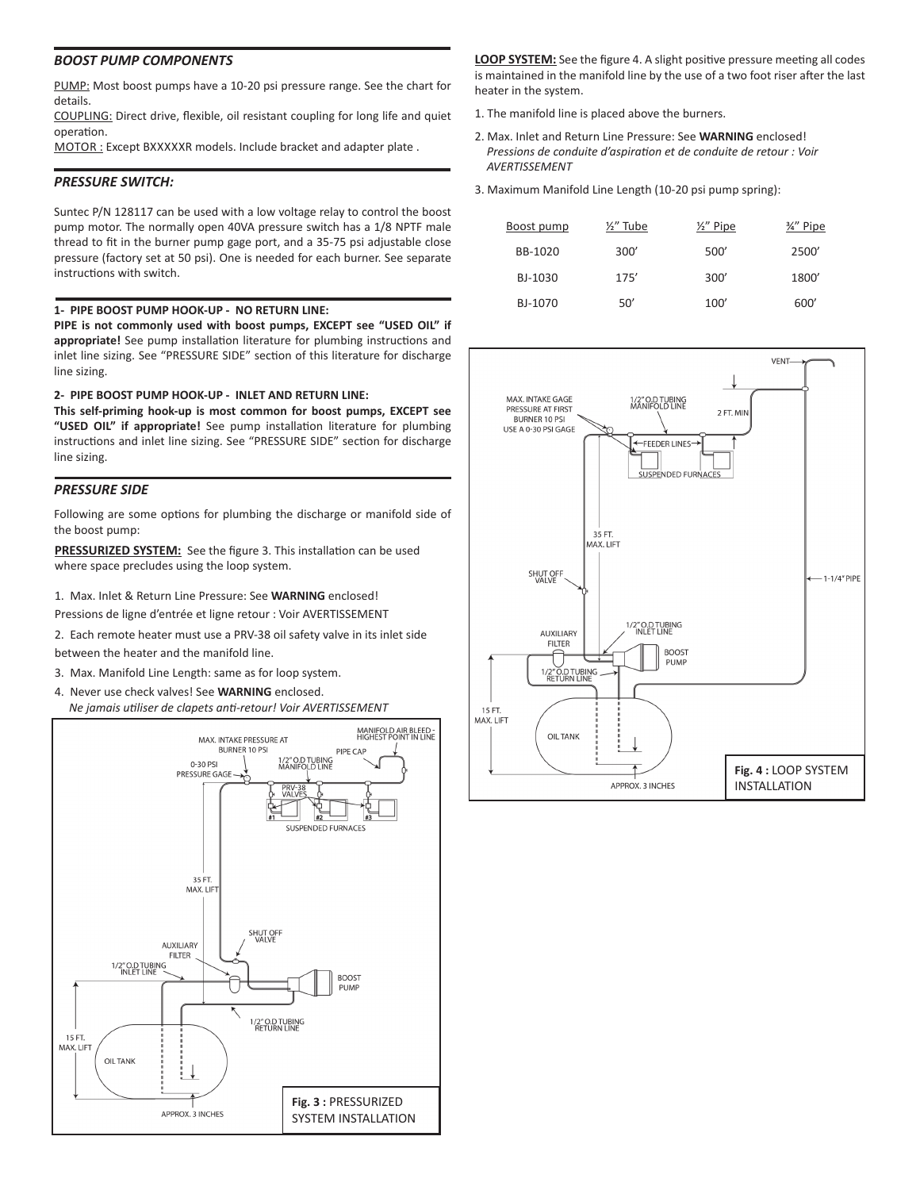### *BOOST PUMP COMPONENTS*

PUMP: Most boost pumps have a 10-20 psi pressure range. See the chart for details.

COUPLING: Direct drive, flexible, oil resistant coupling for long life and quiet operation.

MOTOR : Except BXXXXXR models. Include bracket and adapter plate .

# *PRESSURE SWITCH:*

Suntec P/N 128117 can be used with a low voltage relay to control the boost pump motor. The normally open 40VA pressure switch has a 1/8 NPTF male thread to fit in the burner pump gage port, and a 35-75 psi adjustable close pressure (factory set at 50 psi). One is needed for each burner. See separate instructions with switch.

## **1- PIPE BOOST PUMP HOOK-UP - NO RETURN LINE:**

**PIPE is not commonly used with boost pumps, EXCEPT see "USED OIL" if appropriate!** See pump installation literature for plumbing instructions and inlet line sizing. See "PRESSURE SIDE" section of this literature for discharge line sizing.

## **2- PIPE BOOST PUMP HOOK-UP - INLET AND RETURN LINE:**

**This self-priming hook-up is most common for boost pumps, EXCEPT see "USED OIL" if appropriate!** See pump installation literature for plumbing instructions and inlet line sizing. See "PRESSURE SIDE" section for discharge line sizing.

# *PRESSURE SIDE*

Following are some options for plumbing the discharge or manifold side of the boost pump:

**PRESSURIZED SYSTEM:** See the figure 3. This installation can be used where space precludes using the loop system.

- 1. Max. Inlet & Return Line Pressure: See **WARNING** enclosed!
- Pressions de ligne d'entrée et ligne retour : Voir AVERTISSEMENT
- 2. Each remote heater must use a PRV-38 oil safety valve in its inlet side between the heater and the manifold line.
- 3. Max. Manifold Line Length: same as for loop system.
- 4. Never use check valves! See **WARNING** enclosed. *Ne jamais utiliser de clapets anti-retour! Voir AVERTISSEMENT*



**LOOP SYSTEM:** See the figure 4. A slight positive pressure meeting all codes is maintained in the manifold line by the use of a two foot riser after the last heater in the system.

- 1. The manifold line is placed above the burners.
- 2. Max. Inlet and Return Line Pressure: See **WARNING** enclosed! *Pressions de conduite d'aspiration et de conduite de retour : Voir AVERTISSEMENT*
- 3. Maximum Manifold Line Length (10-20 psi pump spring):

| Boost pump | 1/2" Tube | $\frac{1}{2}$ " Pipe | %" Pipe |
|------------|-----------|----------------------|---------|
| BB-1020    | 300'      | 500'                 | 2500'   |
| BJ-1030    | 175'      | 300'                 | 1800'   |
| BJ-1070    | 50'       | 100'                 | 600'    |